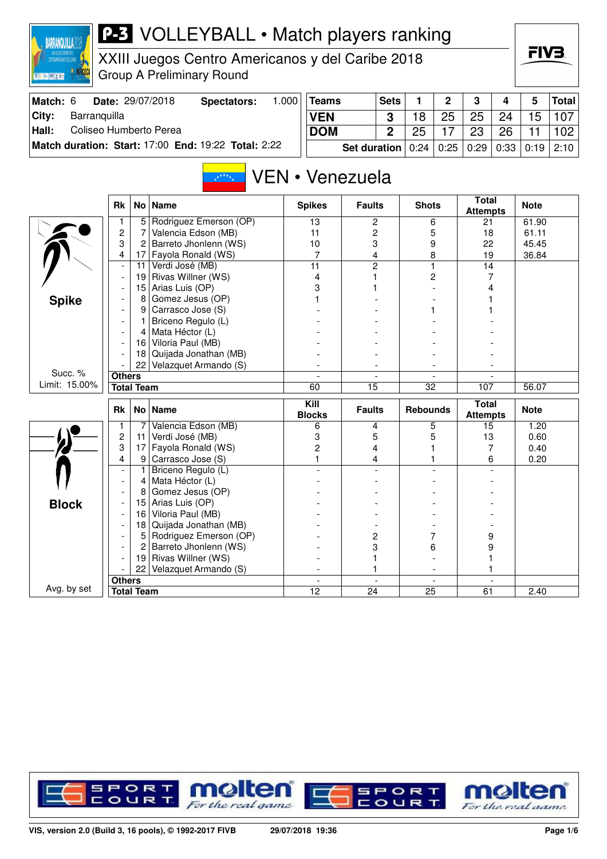| BARRANQUILLA                                                 |   |
|--------------------------------------------------------------|---|
| <b>TOTALCOS DOVORTIVOS</b><br>CENTRONAE DICANOS Y DEL CARIBE |   |
|                                                              | ÷ |

XIII Juegos Centro Americanos y del Caribe 2018 roup A Preliminary Round

| Match: 6 |              | <b>Date: 29/07/2018</b> | Spectators:                                         | .000 | Teams      | Sets                                                   |    | $\overline{2}$ | - 3 | $\boldsymbol{4}$ | 5  | Total |
|----------|--------------|-------------------------|-----------------------------------------------------|------|------------|--------------------------------------------------------|----|----------------|-----|------------------|----|-------|
| City:    | Barranguilla |                         |                                                     |      | <b>VEN</b> |                                                        |    | 25             | 25  | 24               | 15 | 107   |
| Hall:    |              | Coliseo Humberto Perea  |                                                     |      | <b>DOM</b> |                                                        | 25 |                | 23  | 26               |    | 102   |
|          |              |                         | Match duration: Start: 17:00 End: 19:22 Total: 2:22 |      |            | Set duration   0:24   0:25   0:29   0:33   0:19   2:10 |    |                |     |                  |    |       |

#### VEN • Venezuela  $\frac{1}{\sqrt{k}}$

|               | <b>Rk</b>                | No                | <b>Name</b>            | <b>Spikes</b>            | <b>Faults</b>            | <b>Shots</b>             | <b>Total</b><br><b>Attempts</b> | <b>Note</b> |
|---------------|--------------------------|-------------------|------------------------|--------------------------|--------------------------|--------------------------|---------------------------------|-------------|
|               |                          | 5                 | Rodriguez Emerson (OP) | 13                       | 2                        | 6                        | 21                              | 61.90       |
|               | $\overline{c}$           | 7                 | Valencia Edson (MB)    | 11                       | 2                        | 5                        | 18                              | 61.11       |
|               | 3                        | $\overline{c}$    | Barreto Jhonlenn (WS)  | 10                       | 3                        | 9                        | 22                              | 45.45       |
|               | 4                        | 17                | Fayola Ronald (WS)     | $\overline{7}$           | 4                        | 8                        | 19                              | 36.84       |
|               | $\overline{\phantom{a}}$ | 11                | Verdi José (MB)        | 11                       | $\overline{2}$           | $\mathbf{1}$             | 14                              |             |
|               |                          | 19                | Rivas Willner (WS)     | $\overline{4}$           | 1                        | 2                        | 7                               |             |
|               |                          | 15                | Arias Luis (OP)        | 3                        |                          |                          | 4                               |             |
| <b>Spike</b>  |                          | 8                 | Gomez Jesus (OP)       |                          |                          |                          |                                 |             |
|               |                          | 9                 | Carrasco Jose (S)      |                          |                          |                          |                                 |             |
|               |                          | 1                 | Briceno Regulo (L)     |                          |                          |                          |                                 |             |
|               |                          | 4                 | Mata Héctor (L)        |                          |                          |                          |                                 |             |
|               |                          | 16                | Viloria Paul (MB)      |                          |                          |                          |                                 |             |
|               |                          | 18                | Quijada Jonathan (MB)  |                          |                          |                          |                                 |             |
|               |                          | 22                | Velazquet Armando (S)  |                          |                          |                          |                                 |             |
| Succ. %       | <b>Others</b>            |                   |                        | $\overline{\phantom{a}}$ | $\overline{\phantom{a}}$ | $\blacksquare$           |                                 |             |
| Limit: 15.00% |                          | <b>Total Team</b> |                        | 60                       | 15                       | 32                       | 107                             | 56.07       |
|               | <b>Rk</b>                |                   | No   Name              | Kill<br><b>Blocks</b>    | <b>Faults</b>            | <b>Rebounds</b>          | <b>Total</b><br><b>Attempts</b> | <b>Note</b> |
|               |                          |                   |                        |                          |                          |                          |                                 |             |
|               | 1                        | 7                 | Valencia Edson (MB)    | 6                        | 4                        | 5                        | 15                              | 1.20        |
|               | $\overline{c}$           | 11                | Verdi José (MB)        | 3                        | 5                        | 5                        | 13                              | 0.60        |
|               | 3                        | 17                | Fayola Ronald (WS)     | $\overline{c}$           | 4                        |                          | 7                               | 0.40        |
|               | 4                        | 9                 | Carrasco Jose (S)      |                          | 4                        |                          | 6                               | 0.20        |
|               | $\overline{\phantom{a}}$ | 1                 | Briceno Regulo (L)     |                          | $\overline{a}$           |                          |                                 |             |
|               | $\blacksquare$           | 4                 | Mata Héctor (L)        |                          |                          |                          |                                 |             |
|               |                          | 8                 | Gomez Jesus (OP)       |                          |                          |                          |                                 |             |
|               |                          | 15                | Arias Luis (OP)        |                          |                          |                          |                                 |             |
| <b>Block</b>  |                          | 16                | Viloria Paul (MB)      |                          |                          |                          |                                 |             |
|               |                          | 18                | Quijada Jonathan (MB)  |                          |                          |                          |                                 |             |
|               |                          | 5                 | Rodriguez Emerson (OP) |                          | 2                        | 7                        | 9                               |             |
|               |                          | 2                 | Barreto Jhonlenn (WS)  |                          | 3                        | 6                        | 9                               |             |
|               |                          | 19                | Rivas Willner (WS)     |                          |                          |                          |                                 |             |
|               |                          | 22                | Velazquet Armando (S)  |                          | 1                        |                          |                                 |             |
| Avg. by set   | <b>Others</b>            |                   |                        | $\overline{\phantom{a}}$ | $\blacksquare$           | $\overline{\phantom{a}}$ | $\overline{a}$                  |             |

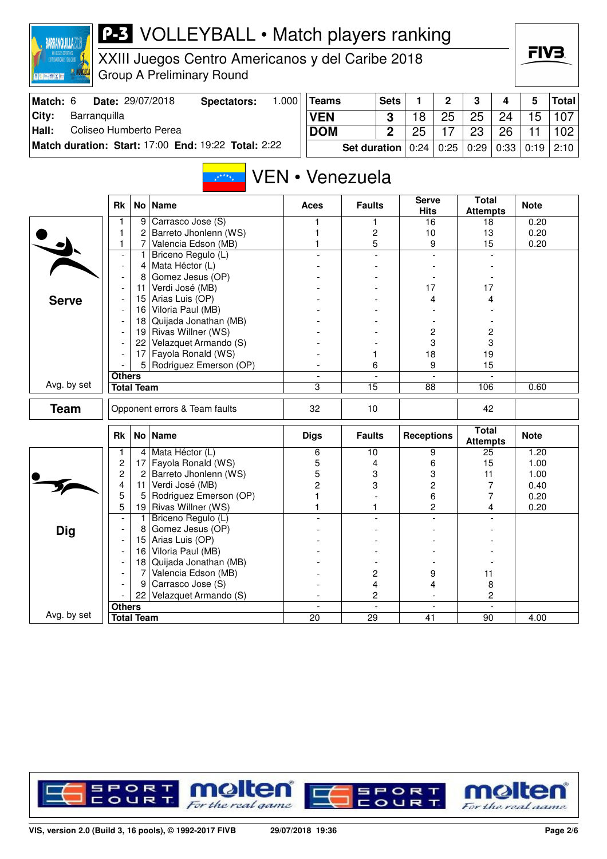

XXIII Juegos Centro Americanos y del Caribe 2018 Group A Preliminary Round

| Match: 6 | Date: 29/07/2018                                    | Spectators: | .000 | 'Teams                                                 | <b>Sets</b>  |    | $\overline{2}$ | $\mathbf{3}$ | $\Delta$ | Total            |
|----------|-----------------------------------------------------|-------------|------|--------------------------------------------------------|--------------|----|----------------|--------------|----------|------------------|
| ⊺Citv:   | Barranguilla                                        |             |      | <b>VEN</b>                                             |              | 18 | 25             | 25           | 24       | 15 107           |
| Hall:    | Coliseo Humberto Perea                              |             |      | <b>DOM</b>                                             | $\mathbf{r}$ | 25 |                | 23           | 26       | 102 <sub>2</sub> |
|          | Match duration: Start: 17:00 End: 19:22 Total: 2:22 |             |      | Set duration   0:24   0:25   0:29   0:33   0:19   2:10 |              |    |                |              |          |                  |

#### VEN • Venezuela  $x^{k+k}$

|              | <b>Rk</b>                |                   | No   Name                     | Aces                     | <b>Faults</b>   | <b>Serve</b><br><b>Hits</b> | <b>Total</b><br><b>Attempts</b> | <b>Note</b> |
|--------------|--------------------------|-------------------|-------------------------------|--------------------------|-----------------|-----------------------------|---------------------------------|-------------|
|              | 1                        | 9                 | Carrasco Jose (S)             | 1                        | 1               | 16                          | 18                              | 0.20        |
|              | 1                        | 2                 | Barreto Jhonlenn (WS)         |                          | 2               | 10                          | 13                              | 0.20        |
|              | 1                        | 7                 | Valencia Edson (MB)           |                          | 5               | 9                           | 15                              | 0.20        |
|              | $\blacksquare$           | 1                 | Briceno Regulo (L)            |                          | $\overline{a}$  | $\overline{\phantom{a}}$    |                                 |             |
|              | $\overline{\phantom{a}}$ | 4                 | Mata Héctor (L)               |                          |                 |                             |                                 |             |
|              | $\blacksquare$           | 8                 | Gomez Jesus (OP)              |                          |                 |                             |                                 |             |
|              |                          | 11                | Verdi José (MB)               |                          |                 | 17                          | 17                              |             |
| <b>Serve</b> |                          | 15                | Arias Luis (OP)               |                          |                 | 4                           | 4                               |             |
|              | $\overline{\phantom{a}}$ | 16                | Viloria Paul (MB)             |                          |                 |                             |                                 |             |
|              |                          | 18                | Quijada Jonathan (MB)         |                          |                 |                             |                                 |             |
|              | $\overline{\phantom{a}}$ |                   | 19 Rivas Willner (WS)         |                          |                 | $\overline{c}$              | 2                               |             |
|              |                          | 22                | Velazquet Armando (S)         |                          |                 | 3                           | 3                               |             |
|              |                          | 17                | Fayola Ronald (WS)            |                          | 1               | 18                          | 19                              |             |
|              |                          | 5                 | Rodriguez Emerson (OP)        |                          | 6               | 9                           | 15                              |             |
|              | <b>Others</b>            |                   |                               | $\overline{\phantom{a}}$ | $\blacksquare$  | $\mathbf{r}$                |                                 |             |
| Avg. by set  |                          | <b>Total Team</b> |                               | 3                        | $\overline{15}$ | $\overline{88}$             | 106                             | 0.60        |
| <b>Team</b>  |                          |                   | Opponent errors & Team faults | 32                       | 10              |                             | 42                              |             |
|              | <b>Rk</b>                |                   | No   Name                     | <b>Digs</b>              | <b>Faults</b>   | <b>Receptions</b>           | <b>Total</b><br><b>Attempts</b> | <b>Note</b> |
|              | 1                        | $\vert$           | Mata Héctor (L)               | 6                        | 10              | 9                           | $\overline{25}$                 | 1.20        |
|              | $\overline{c}$           | 17                | Fayola Ronald (WS)            | 5                        | 4               | 6                           | 15                              | 1.00        |
|              | $\overline{c}$           | 2                 | Barreto Jhonlenn (WS)         | 5                        | 3               | 3                           | 11                              | 1.00        |
|              | 4                        | 11                | Verdi José (MB)               | $\overline{2}$           | 3               | $\overline{c}$              | 7                               | 0.40        |
|              | 5                        | 5                 | Rodriguez Emerson (OP)        |                          |                 | 6                           | 7                               | 0.20        |
|              | 5                        | 19                | Rivas Willner (WS)            | 1                        | 1               | $\overline{c}$              | 4                               | 0.20        |
|              | $\overline{\phantom{a}}$ | $\mathbf{1}$      | Briceno Regulo (L)            |                          |                 |                             |                                 |             |
| <b>Dig</b>   |                          | 8                 | Gomez Jesus (OP)              |                          |                 |                             |                                 |             |
|              | $\overline{\phantom{a}}$ | 15                | Arias Luis (OP)               |                          |                 |                             |                                 |             |
|              | $\overline{a}$           | 16                | Viloria Paul (MB)             |                          |                 |                             |                                 |             |
|              |                          | 18                | Quijada Jonathan (MB)         |                          |                 |                             |                                 |             |
|              |                          | 7                 | Valencia Edson (MB)           |                          | 2               | 9                           | 11                              |             |
|              |                          | 9                 | Carrasco Jose (S)             |                          | 4               | 4                           | 8                               |             |
|              |                          | 22                | Velazquet Armando (S)         |                          | 2               |                             | 2                               |             |
|              | <b>Others</b>            |                   |                               | $\overline{\phantom{a}}$ | $\overline{a}$  | $\blacksquare$              | $\overline{a}$                  |             |
| Avg. by set  |                          | <b>Total Team</b> |                               | 20                       | 29              | 41                          | 90                              | 4.00        |

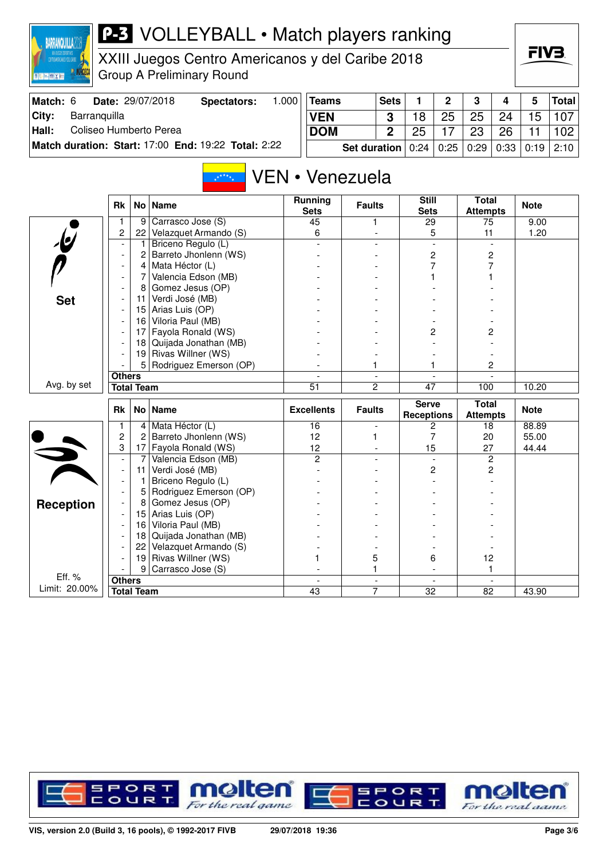

XXIII Juegos Centro Americanos y del Caribe 2018 Group A Preliminary Round

| Match: 6 |              | <b>Date: 29/07/2018</b> | Spectators:                                         | .000 | ∣Teams                                                                  | <b>Sets</b> |    | $\mathbf{p}$ | 3  | 4  | 5     | Total |
|----------|--------------|-------------------------|-----------------------------------------------------|------|-------------------------------------------------------------------------|-------------|----|--------------|----|----|-------|-------|
| City:    | Barranquilla |                         |                                                     |      | <b>VEN</b>                                                              |             | 18 | 25           | 25 | 24 | $-15$ | 107   |
| Hall:    |              | Coliseo Humberto Perea  |                                                     |      | <b>DOM</b>                                                              | 2           | 25 |              | 23 | 26 |       | 102   |
|          |              |                         | Match duration: Start: 17:00 End: 19:22 Total: 2:22 |      | <b>Set duration</b>   $0.24$   $0.25$   $0.29$   $0.33$   $0.19$   2:10 |             |    |              |    |    |       |       |

#### VEN • Venezuela  $x^{k+k}$

|                         | <b>Rk</b>                |                   | No   Name              | <b>Running</b><br><b>Sets</b> | <b>Faults</b>            | <b>Still</b><br><b>Sets</b>       | <b>Total</b><br><b>Attempts</b> | <b>Note</b> |
|-------------------------|--------------------------|-------------------|------------------------|-------------------------------|--------------------------|-----------------------------------|---------------------------------|-------------|
|                         |                          | 9                 | Carrasco Jose (S)      | 45                            | 1.                       | 29                                | 75                              | 9.00        |
|                         | 2                        | 22                | Velazquet Armando (S)  | 6                             |                          | 5                                 | 11                              | 1.20        |
| $\overline{\mathbf{e}}$ |                          | 1                 | Briceno Regulo (L)     |                               |                          |                                   |                                 |             |
|                         | $\overline{\phantom{a}}$ | $\overline{c}$    | Barreto Jhonlenn (WS)  |                               |                          | 2                                 | 2                               |             |
|                         | $\overline{\phantom{a}}$ | 4                 | Mata Héctor (L)        |                               |                          | 7                                 | 7                               |             |
|                         |                          | 7                 | Valencia Edson (MB)    |                               |                          |                                   |                                 |             |
|                         |                          | 8                 | Gomez Jesus (OP)       |                               |                          |                                   |                                 |             |
| <b>Set</b>              |                          | 11                | Verdi José (MB)        |                               |                          |                                   |                                 |             |
|                         |                          | 15                | Arias Luis (OP)        |                               |                          |                                   |                                 |             |
|                         |                          | 16                | Viloria Paul (MB)      |                               |                          |                                   |                                 |             |
|                         |                          | 17                | Fayola Ronald (WS)     |                               |                          | 2                                 | 2                               |             |
|                         |                          | 18                | Quijada Jonathan (MB)  |                               |                          |                                   |                                 |             |
|                         |                          | 19                | Rivas Willner (WS)     |                               |                          |                                   |                                 |             |
|                         |                          | 5                 | Rodriguez Emerson (OP) |                               | 1                        |                                   | 2                               |             |
|                         | <b>Others</b>            |                   |                        |                               | $\overline{\phantom{a}}$ |                                   |                                 |             |
| Avg. by set             |                          | <b>Total Team</b> |                        | $\overline{51}$               | $\overline{2}$           | 47                                | 100                             | 10.20       |
|                         |                          |                   |                        |                               |                          |                                   |                                 |             |
|                         | <b>Rk</b>                |                   | No Name                | <b>Excellents</b>             | <b>Faults</b>            | <b>Serve</b><br><b>Receptions</b> | <b>Total</b>                    | <b>Note</b> |
|                         | 1                        | 4                 | Mata Héctor (L)        | 16                            |                          | 2                                 | <b>Attempts</b><br>18           | 88.89       |
|                         | 2                        | 2                 | Barreto Jhonlenn (WS)  | 12                            | 1                        | 7                                 | 20                              | 55.00       |
|                         | 3                        | 17                | Fayola Ronald (WS)     | 12                            |                          | 15                                | 27                              | 44.44       |
|                         | $\overline{\phantom{a}}$ | 7                 | Valencia Edson (MB)    | $\overline{c}$                |                          | $\blacksquare$                    | $\overline{c}$                  |             |
|                         | $\overline{\phantom{a}}$ | 11                | Verdi José (MB)        |                               |                          | 2                                 | 2                               |             |
|                         | $\overline{a}$           | 1                 | Briceno Regulo (L)     |                               |                          |                                   |                                 |             |
|                         |                          | 5                 | Rodriguez Emerson (OP) |                               |                          |                                   |                                 |             |
|                         |                          | 8                 | Gomez Jesus (OP)       |                               |                          |                                   |                                 |             |
| <b>Reception</b>        |                          | 15                | Arias Luis (OP)        |                               |                          |                                   |                                 |             |
|                         |                          | 16                | Viloria Paul (MB)      |                               |                          |                                   |                                 |             |
|                         |                          | 18                | Quijada Jonathan (MB)  |                               |                          |                                   |                                 |             |
|                         |                          | 22                | Velazquet Armando (S)  |                               |                          |                                   |                                 |             |
|                         |                          | 19                | Rivas Willner (WS)     |                               | 5                        | 6                                 | 12                              |             |
|                         |                          | 9                 | Carrasco Jose (S)      |                               | 1                        |                                   | 1                               |             |
| Eff. %<br>Limit: 20.00% | <b>Others</b>            | <b>Total Team</b> |                        | 43                            | $\overline{7}$           | $\overline{32}$                   | $\overline{82}$                 | 43.90       |

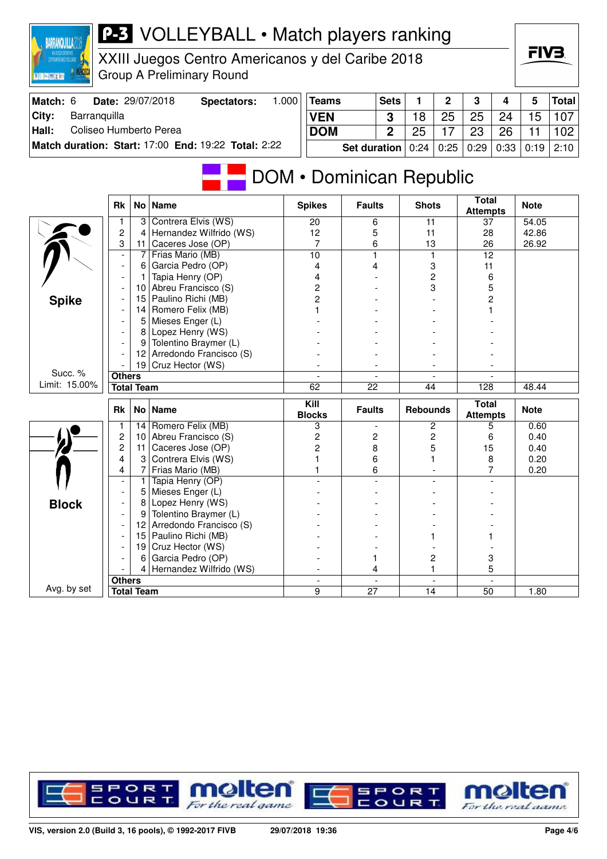

XXIII Juegos Centro Americanos y del Caribe 2018 Group A Preliminary Round



| Match: 6 | Date: 29/07/2018                                    | Spectators: | .000 | <b>Teams</b>                                           | <b>Sets</b> |    | $\mathbf{p}$ | -3 | 4  | 5  | Total            |
|----------|-----------------------------------------------------|-------------|------|--------------------------------------------------------|-------------|----|--------------|----|----|----|------------------|
| City:    | Barranguilla                                        |             |      | <b>VEN</b>                                             |             |    | 25           | 25 | 24 | 15 | 107 <sub>1</sub> |
| Hall:    | Coliseo Humberto Perea                              |             |      | <b>DOM</b>                                             |             | 25 |              | 23 | 26 |    | 102 <sub>1</sub> |
|          | Match duration: Start: 17:00 End: 19:22 Total: 2:22 |             |      | Set duration   0:24   0:25   0:29   0:33   0:19   2:10 |             |    |              |    |    |    |                  |

# **DOM • Dominican Republic**

|               | <b>Rk</b>                | No l | <b>Name</b>                                  | <b>Spikes</b>            | <b>Faults</b>            | <b>Shots</b>             | <b>Total</b><br><b>Attempts</b> | <b>Note</b> |
|---------------|--------------------------|------|----------------------------------------------|--------------------------|--------------------------|--------------------------|---------------------------------|-------------|
|               |                          | 3    | Contrera Elvis (WS)                          | 20                       | 6                        | 11                       | 37                              | 54.05       |
|               | $\overline{c}$           | 4    | Hernandez Wilfrido (WS)                      | 12                       | 5                        | 11                       | 28                              | 42.86       |
|               | 3                        | 11   | Caceres Jose (OP)                            | $\overline{7}$           | 6                        | 13                       | 26                              | 26.92       |
|               | $\overline{\phantom{a}}$ | 7    | Frias Mario (MB)                             | 10                       | $\mathbf{1}$             | $\mathbf{1}$             | 12                              |             |
|               | $\overline{\phantom{a}}$ | 6    | Garcia Pedro (OP)                            | 4                        | 4                        | 3                        | 11                              |             |
|               |                          | 1    | Tapia Henry (OP)                             | 4                        |                          | $\overline{c}$           | 6                               |             |
|               |                          | 10   | Abreu Francisco (S)                          | $\overline{c}$           |                          | 3                        | 5                               |             |
| <b>Spike</b>  |                          | 15   | Paulino Richi (MB)                           | $\overline{2}$           |                          |                          | 2                               |             |
|               |                          | 14   | Romero Felix (MB)                            |                          |                          |                          |                                 |             |
|               |                          | 5    | Mieses Enger (L)                             |                          |                          |                          |                                 |             |
|               |                          | 8    | Lopez Henry (WS)                             |                          |                          |                          |                                 |             |
|               |                          | 9    | Tolentino Braymer (L)                        |                          |                          |                          |                                 |             |
|               |                          | 12   | Arredondo Francisco (S)                      |                          |                          |                          |                                 |             |
|               |                          |      | 19 Cruz Hector (WS)                          |                          |                          |                          |                                 |             |
| Succ. %       | <b>Others</b>            |      |                                              |                          | $\overline{\phantom{a}}$ | $\overline{\phantom{a}}$ |                                 |             |
| Limit: 15.00% | <b>Total Team</b>        |      |                                              | 62                       | 22                       | 44                       | 128                             | 48.44       |
|               |                          |      |                                              |                          |                          |                          |                                 |             |
|               | <b>Rk</b>                |      | No   Name                                    | Kill<br><b>Blocks</b>    | <b>Faults</b>            | <b>Rebounds</b>          | <b>Total</b><br><b>Attempts</b> | <b>Note</b> |
|               | $\mathbf{1}$             | 14   | Romero Felix (MB)                            | 3                        | $\overline{\phantom{a}}$ | $\overline{c}$           | 5                               | 0.60        |
|               | $\overline{c}$           | 10   | Abreu Francisco (S)                          | $\overline{c}$           | 2                        | $\overline{c}$           | 6                               | 0.40        |
|               | $\overline{2}$           | 11   | Caceres Jose (OP)                            | $\overline{c}$           | 8                        | 5                        | 15                              | 0.40        |
|               | 4                        | 3    | Contrera Elvis (WS)                          |                          | 6                        |                          | 8                               | 0.20        |
|               | 4                        | 7    |                                              |                          | 6                        | $\blacksquare$           | 7                               | 0.20        |
|               | $\blacksquare$           | 1    | Frias Mario (MB)<br>Tapia Henry (OP)         |                          |                          |                          |                                 |             |
|               |                          | 5    | Mieses Enger (L)                             |                          |                          |                          |                                 |             |
|               |                          | 8    | Lopez Henry (WS)                             |                          |                          |                          |                                 |             |
| <b>Block</b>  |                          | 9    | Tolentino Braymer (L)                        |                          |                          |                          |                                 |             |
|               |                          | 12   |                                              |                          |                          |                          |                                 |             |
|               |                          | 15   | Arredondo Francisco (S)                      |                          |                          |                          |                                 |             |
|               |                          | 19   | Paulino Richi (MB)                           |                          |                          |                          |                                 |             |
|               |                          | 6    | Cruz Hector (WS)                             |                          |                          | 2                        |                                 |             |
|               |                          | 4    | Garcia Pedro (OP)<br>Hernandez Wilfrido (WS) |                          | 4                        |                          | 3<br>5                          |             |
| Avg. by set   | <b>Others</b>            |      |                                              | $\overline{\phantom{a}}$ | $\mathbf{r}$             | $\overline{\phantom{a}}$ | $\overline{\phantom{a}}$        |             |

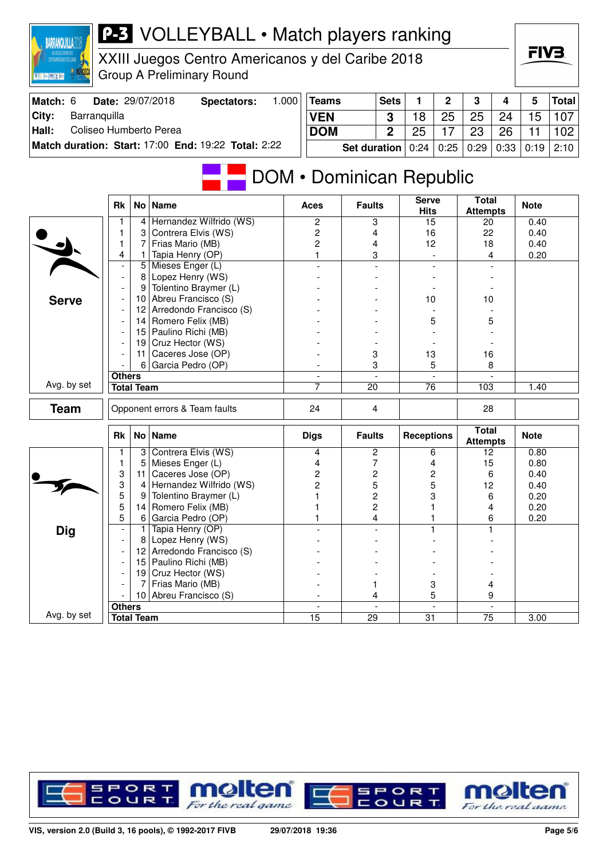| CONTINUATION AND THE CARRE<br>图 R. Jose W. X Ro |                          |                   | XXIII Juegos Centro Americanos y del Caribe 2018<br><b>Group A Preliminary Round</b> |       |                                                |                     |                         |                   |      |                                 |      | гі V Ә.      |              |
|-------------------------------------------------|--------------------------|-------------------|--------------------------------------------------------------------------------------|-------|------------------------------------------------|---------------------|-------------------------|-------------------|------|---------------------------------|------|--------------|--------------|
| Match: 6                                        |                          |                   | Date: 29/07/2018<br>Spectators:                                                      | 1.000 | <b>Teams</b>                                   |                     | <b>Sets</b>             | 1                 | 2    | 3                               | 4    | 5            | <b>Total</b> |
| City:<br>Barranquilla                           |                          |                   |                                                                                      |       | <b>VEN</b>                                     |                     | 3                       | 18                | 25   | 25                              | 24   | 15           | 107          |
| Coliseo Humberto Perea<br>Hall:                 |                          |                   |                                                                                      |       | <b>DOM</b>                                     |                     | $\overline{2}$          | 25                | 17   | 23                              | 26   | 11           | 102          |
|                                                 |                          |                   | Match duration: Start: 17:00 End: 19:22 Total: 2:22                                  |       |                                                |                     |                         |                   |      |                                 |      |              |              |
|                                                 |                          |                   |                                                                                      |       |                                                | <b>Set duration</b> |                         | 0:24              | 0:25 | 0:29                            | 0:33 | 0:19         | 2:10         |
|                                                 | <b>Rk</b>                |                   | No   Name                                                                            |       | <b>DOM</b> • Dominican Republic<br><b>Aces</b> | <b>Faults</b>       |                         | <b>Serve</b>      |      | <b>Total</b>                    |      | <b>Note</b>  |              |
|                                                 | 1                        | 4                 | Hernandez Wilfrido (WS)                                                              |       | 2                                              |                     |                         | <b>Hits</b><br>15 |      | <b>Attempts</b><br>20           |      | 0.40         |              |
|                                                 | 1                        | 3                 | Contrera Elvis (WS)                                                                  |       | 2                                              | 3<br>4              |                         | 16                |      | 22                              |      | 0.40         |              |
|                                                 | 1                        | 7                 | Frias Mario (MB)                                                                     |       | $\overline{c}$                                 | 4                   |                         | 12                |      | 18                              |      | 0.40         |              |
|                                                 | 4                        | 1                 | Tapia Henry (OP)                                                                     |       | 1                                              |                     | 3                       |                   |      |                                 | 4    | 0.20         |              |
|                                                 |                          | 5                 | Mieses Enger (L)                                                                     |       |                                                |                     |                         |                   |      |                                 |      |              |              |
|                                                 | $\overline{\phantom{a}}$ | 8                 | Lopez Henry (WS)                                                                     |       |                                                |                     |                         |                   |      |                                 |      |              |              |
|                                                 |                          | 9                 | Tolentino Braymer (L)                                                                |       |                                                |                     |                         |                   |      |                                 |      |              |              |
| <b>Serve</b>                                    |                          | 10                | Abreu Francisco (S)                                                                  |       |                                                |                     |                         | 10                |      | 10                              |      |              |              |
|                                                 |                          | 12 <sup>2</sup>   | Arredondo Francisco (S)                                                              |       |                                                |                     |                         |                   |      |                                 |      |              |              |
|                                                 |                          | 14                | Romero Felix (MB)                                                                    |       |                                                |                     |                         | 5                 |      |                                 | 5    |              |              |
|                                                 |                          | 15                | Paulino Richi (MB)                                                                   |       |                                                |                     |                         |                   |      |                                 |      |              |              |
|                                                 |                          | 19                | Cruz Hector (WS)                                                                     |       |                                                |                     |                         |                   |      |                                 |      |              |              |
|                                                 |                          | 11<br>6           | Caceres Jose (OP)<br>Garcia Pedro (OP)                                               |       |                                                | 3<br>3              |                         | 13                | 5    | 16                              | 8    |              |              |
|                                                 | <b>Others</b>            |                   |                                                                                      |       |                                                |                     |                         |                   |      |                                 |      |              |              |
| Avg. by set                                     |                          | <b>Total Team</b> |                                                                                      |       | 7                                              | 20                  |                         | 76                |      | 103                             |      | 1.40         |              |
|                                                 |                          |                   |                                                                                      |       |                                                |                     |                         |                   |      |                                 |      |              |              |
| <b>Team</b>                                     |                          |                   | Opponent errors & Team faults                                                        |       | 24                                             | 4                   |                         |                   |      | 28                              |      |              |              |
|                                                 | <b>Rk</b>                |                   | No   Name                                                                            |       | <b>Digs</b>                                    | <b>Faults</b>       |                         | <b>Receptions</b> |      | <b>Total</b><br><b>Attempts</b> |      | <b>Note</b>  |              |
|                                                 |                          | 3                 | Contrera Elvis (WS)                                                                  |       | 4                                              |                     | 2                       |                   | 6    | 12                              |      | 0.80         |              |
|                                                 | 1<br>3                   | 5<br>11           | Mieses Enger (L)<br>Caceres Jose (OP)                                                |       | 4                                              |                     | 7                       |                   | 4    | 15                              |      | 0.80         |              |
|                                                 | 3                        | 4                 | Hernandez Wilfrido (WS)                                                              |       | 2<br>2                                         | 5                   | 2                       | 5                 | 2    | 12                              | 6    | 0.40<br>0.40 |              |
|                                                 | 5                        | 9                 | Tolentino Braymer (L)                                                                |       |                                                |                     | $\overline{\mathbf{c}}$ | 3                 |      | 6                               |      | 0.20         |              |
|                                                 | 5                        | 14                | Romero Felix (MB)                                                                    |       |                                                | $\overline{c}$      |                         | 1                 |      |                                 | 4    | 0.20         |              |
|                                                 | 5                        | 6                 | Garcia Pedro (OP)                                                                    |       | 1                                              |                     | 4                       | 1                 |      |                                 | 6    | 0.20         |              |
| <b>Dig</b>                                      |                          | 1                 | Tapia Henry (OP)                                                                     |       |                                                |                     |                         |                   |      |                                 |      |              |              |
|                                                 |                          | 8                 | Lopez Henry (WS)                                                                     |       |                                                |                     |                         |                   |      |                                 |      |              |              |
|                                                 |                          | 12                | Arredondo Francisco (S)                                                              |       |                                                |                     |                         |                   |      |                                 |      |              |              |
|                                                 |                          | 15                | Paulino Richi (MB)                                                                   |       |                                                |                     |                         |                   |      |                                 |      |              |              |
|                                                 |                          |                   | 19 Cruz Hector (WS)                                                                  |       |                                                |                     |                         |                   |      |                                 |      |              |              |
|                                                 |                          |                   | Frias Mario (MB)<br>10 Abreu Francisco (S)                                           |       |                                                |                     | 1                       |                   | 3    |                                 | 4    |              |              |
|                                                 | <b>Others</b>            |                   |                                                                                      |       |                                                |                     | 4                       |                   | 5    |                                 | 9    |              |              |
| Avg. by set                                     |                          | <b>Total Team</b> |                                                                                      |       | $\overline{15}$                                | $\overline{29}$     |                         | $\overline{31}$   |      | 75                              |      | 3.00         |              |
|                                                 |                          |                   |                                                                                      |       |                                                |                     |                         |                   |      |                                 |      |              |              |

**BARRANQUILLA2018** 



FIV<sub>3</sub>